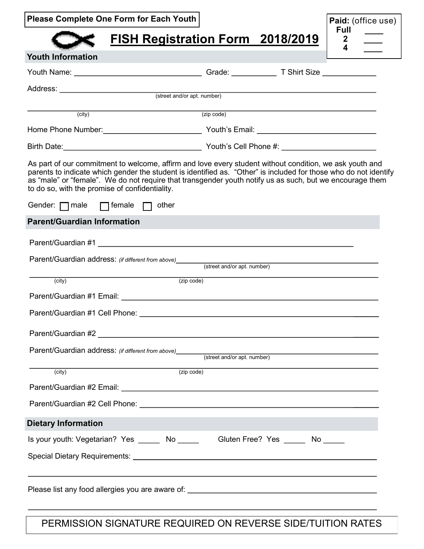|  |  | <b>Please Complete One Form for Each Youth</b> |
|--|--|------------------------------------------------|
|--|--|------------------------------------------------|

**Youth Information** 

## **FISH Registration Form 2018/2019**

| Paid: (office use) |  |
|--------------------|--|
| Full               |  |
| 2                  |  |
| $\mathbf{4}$       |  |

| Youth Name: ___________________________________                                 | Grade: T Shirt Size                                                                                                                                                                                                                                                                                                                     |  |  |
|---------------------------------------------------------------------------------|-----------------------------------------------------------------------------------------------------------------------------------------------------------------------------------------------------------------------------------------------------------------------------------------------------------------------------------------|--|--|
|                                                                                 |                                                                                                                                                                                                                                                                                                                                         |  |  |
|                                                                                 |                                                                                                                                                                                                                                                                                                                                         |  |  |
| (city)                                                                          | (zip code)                                                                                                                                                                                                                                                                                                                              |  |  |
|                                                                                 |                                                                                                                                                                                                                                                                                                                                         |  |  |
|                                                                                 |                                                                                                                                                                                                                                                                                                                                         |  |  |
| to do so, with the promise of confidentiality.                                  | As part of our commitment to welcome, affirm and love every student without condition, we ask youth and<br>parents to indicate which gender the student is identified as. "Other" is included for those who do not identify<br>as "male" or "female". We do not require that transgender youth notify us as such, but we encourage them |  |  |
| Gender: $\Box$ male $\Box$ female $\Box$ other                                  |                                                                                                                                                                                                                                                                                                                                         |  |  |
| <b>Parent/Guardian Information</b>                                              |                                                                                                                                                                                                                                                                                                                                         |  |  |
|                                                                                 |                                                                                                                                                                                                                                                                                                                                         |  |  |
| Parent/Guardian address: (if different from above) (street and/or apt. number)  |                                                                                                                                                                                                                                                                                                                                         |  |  |
| (zip code)<br>(city)                                                            |                                                                                                                                                                                                                                                                                                                                         |  |  |
|                                                                                 |                                                                                                                                                                                                                                                                                                                                         |  |  |
|                                                                                 |                                                                                                                                                                                                                                                                                                                                         |  |  |
|                                                                                 |                                                                                                                                                                                                                                                                                                                                         |  |  |
|                                                                                 |                                                                                                                                                                                                                                                                                                                                         |  |  |
| (city)                                                                          | (zip code)                                                                                                                                                                                                                                                                                                                              |  |  |
|                                                                                 |                                                                                                                                                                                                                                                                                                                                         |  |  |
|                                                                                 |                                                                                                                                                                                                                                                                                                                                         |  |  |
| <b>Dietary Information</b>                                                      |                                                                                                                                                                                                                                                                                                                                         |  |  |
| Is your youth: Vegetarian? Yes ______ No ______ Gluten Free? Yes _____ No _____ |                                                                                                                                                                                                                                                                                                                                         |  |  |
|                                                                                 |                                                                                                                                                                                                                                                                                                                                         |  |  |
|                                                                                 |                                                                                                                                                                                                                                                                                                                                         |  |  |

PERMISSION SIGNATURE REQUIRED ON REVERSE SIDE/TUITION RATES